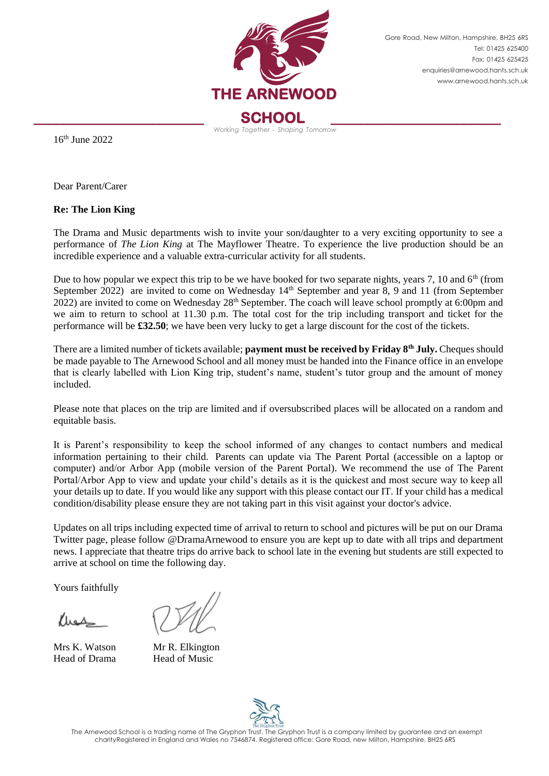

Gore Road, New Milton, Hampshire, BH25 6RS Tel: 01425 625400 Fax: 01425 625425 [enquiries@arnewood.hants.sch.uk](mailto:enquiries@arnewood.hants.sch.uk) [www.arnewood.hants.sch.uk](http://www.arnewood.hants.sch.uk/)

16 th June 2022

Dear Parent/Carer

## **Re: The Lion King**

The Drama and Music departments wish to invite your son/daughter to a very exciting opportunity to see a performance of *The Lion King* at The Mayflower Theatre. To experience the live production should be an incredible experience and a valuable extra-curricular activity for all students.

Due to how popular we expect this trip to be we have booked for two separate nights, years 7, 10 and  $6<sup>th</sup>$  (from September 2022) are invited to come on Wednesday 14<sup>th</sup> September and year 8, 9 and 11 (from September 2022) are invited to come on Wednesday 28<sup>th</sup> September. The coach will leave school promptly at 6:00pm and we aim to return to school at 11.30 p.m. The total cost for the trip including transport and ticket for the performance will be **£32.50**; we have been very lucky to get a large discount for the cost of the tickets.

There are a limited number of tickets available; **payment must be received by Friday 8th July.** Cheques should be made payable to The Arnewood School and all money must be handed into the Finance office in an envelope that is clearly labelled with Lion King trip, student's name, student's tutor group and the amount of money included.

Please note that places on the trip are limited and if oversubscribed places will be allocated on a random and equitable basis.

It is Parent's responsibility to keep the school informed of any changes to contact numbers and medical information pertaining to their child. Parents can update via The Parent Portal (accessible on a laptop or computer) and/or Arbor App (mobile version of the Parent Portal). We recommend the use of The Parent Portal/Arbor App to view and update your child's details as it is the quickest and most secure way to keep all your details up to date. If you would like any support with this please contact our IT. If your child has a medical condition/disability please ensure they are not taking part in this visit against your doctor's advice.

Updates on all trips including expected time of arrival to return to school and pictures will be put on our Drama Twitter page, please follow @DramaArnewood to ensure you are kept up to date with all trips and department news. I appreciate that theatre trips do arrive back to school late in the evening but students are still expected to arrive at school on time the following day.

Yours faithfully

Head of Drama Head of Music

Mrs K. Watson Mr R. Elkington